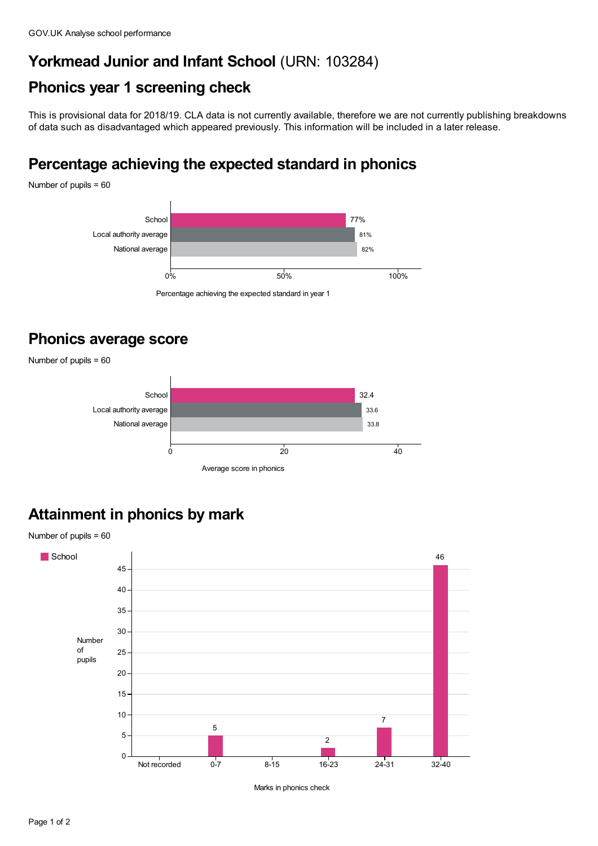#### **Yorkmead Junior and Infant School** (URN: 103284)

#### **Phonics year 1 screening check**

This is provisional data for 2018/19. CLA data is not currently available, therefore we are not currently publishing breakdowns of data such as disadvantaged which appeared previously. This information will be included in a later release.

### **Percentage achieving the expected standard in phonics**

Number of pupils = 60



Percentage achieving the expected standard in year 1

### **Phonics average score**

Number of pupils = 60



# **Attainment in phonics by mark**



Marks in phonics check